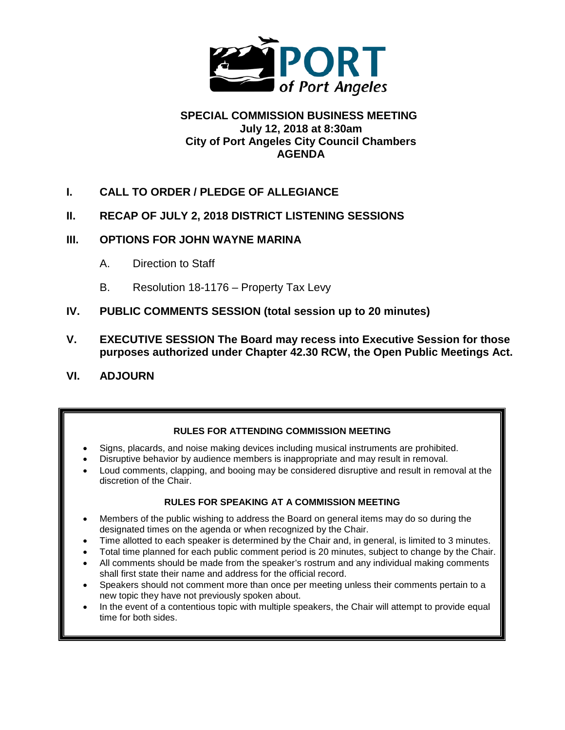

#### **SPECIAL COMMISSION BUSINESS MEETING July 12, 2018 at 8:30am City of Port Angeles City Council Chambers AGENDA**

- **I. CALL TO ORDER / PLEDGE OF ALLEGIANCE**
- **II. RECAP OF JULY 2, 2018 DISTRICT LISTENING SESSIONS**

#### **III. OPTIONS FOR JOHN WAYNE MARINA**

- A. Direction to Staff
- B. Resolution 18-1176 Property Tax Levy
- **IV. PUBLIC COMMENTS SESSION (total session up to 20 minutes)**
- **V. EXECUTIVE SESSION The Board may recess into Executive Session for those purposes authorized under Chapter 42.30 RCW, the Open Public Meetings Act.**
- **VI. ADJOURN**

#### **RULES FOR ATTENDING COMMISSION MEETING**

- Signs, placards, and noise making devices including musical instruments are prohibited.
- Disruptive behavior by audience members is inappropriate and may result in removal.
- Loud comments, clapping, and booing may be considered disruptive and result in removal at the discretion of the Chair.

#### **RULES FOR SPEAKING AT A COMMISSION MEETING**

- Members of the public wishing to address the Board on general items may do so during the designated times on the agenda or when recognized by the Chair.
- Time allotted to each speaker is determined by the Chair and, in general, is limited to 3 minutes.
- Total time planned for each public comment period is 20 minutes, subject to change by the Chair.
- All comments should be made from the speaker's rostrum and any individual making comments shall first state their name and address for the official record.
- Speakers should not comment more than once per meeting unless their comments pertain to a new topic they have not previously spoken about.
- In the event of a contentious topic with multiple speakers, the Chair will attempt to provide equal time for both sides.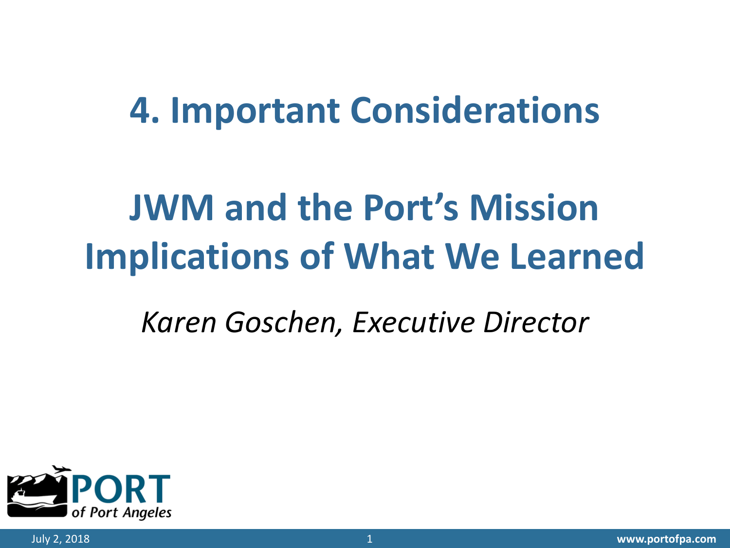### **Important Considerations**

# **JWM and the Port's Mission Implications of What We Learned**

### *Karen Goschen, Executive Director*

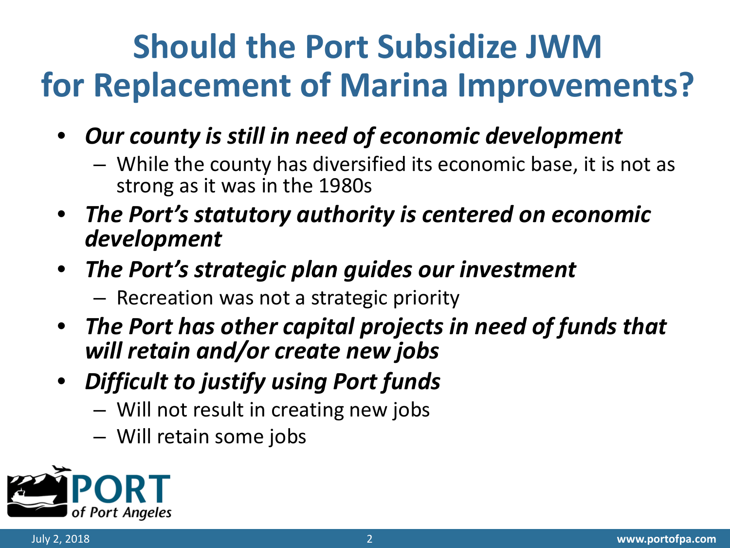## **Should the Port Subsidize JWM for Replacement of Marina Improvements?**

- *Our county is still in need of economic development*
	- While the county has diversified its economic base, it is not as strong as it was in the 1980s
- *The Port's statutory authority is centered on economic development*
- *The Port's strategic plan guides our investment*
	- Recreation was not a strategic priority
- *The Port has other capital projects in need of funds that will retain and/or create new jobs*
- *Difficult to justify using Port funds* 
	- Will not result in creating new jobs
	- Will retain some jobs

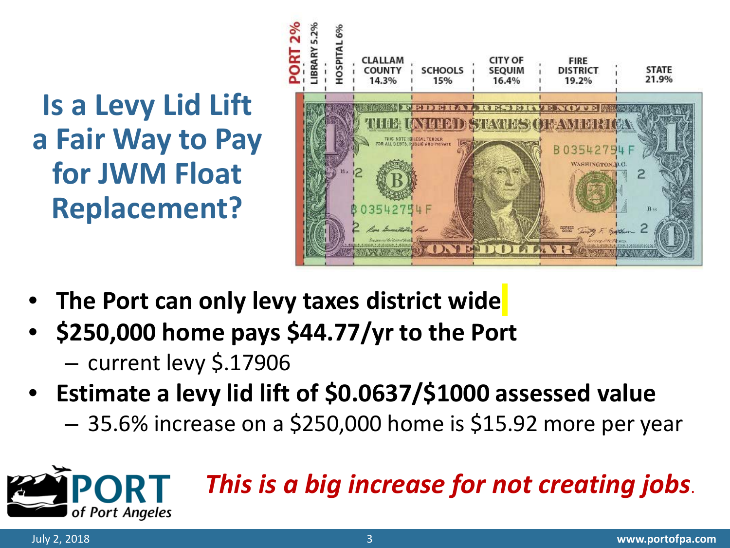**Is a Levy Lid Lift a Fair Way to Pay for JWM Float Replacement?**



- **The Port can only levy taxes district wide**
- **\$250,000 home pays \$44.77/yr to the Port**
	- current levy \$.17906
- **Estimate a levy lid lift of \$0.0637/\$1000 assessed value**
	- 35.6% increase on a \$250,000 home is \$15.92 more per year



of Port Angeles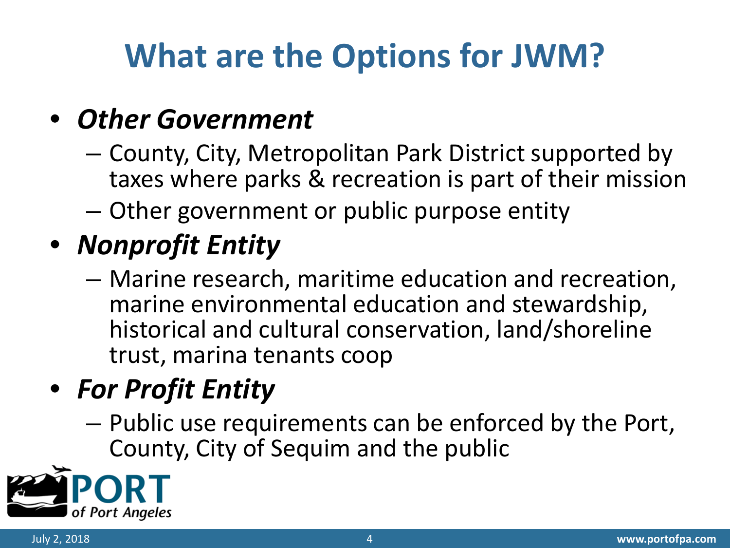## **What are the Options for JWM?**

### • *Other Government*

- County, City, Metropolitan Park District supported by taxes where parks & recreation is part of their mission
- Other government or public purpose entity

### • *Nonprofit Entity*

– Marine research, maritime education and recreation, marine environmental education and stewardship, historical and cultural conservation, land/shoreline trust, marina tenants coop

### • *For Profit Entity*

– Public use requirements can be enforced by the Port, County, City of Sequim and the public

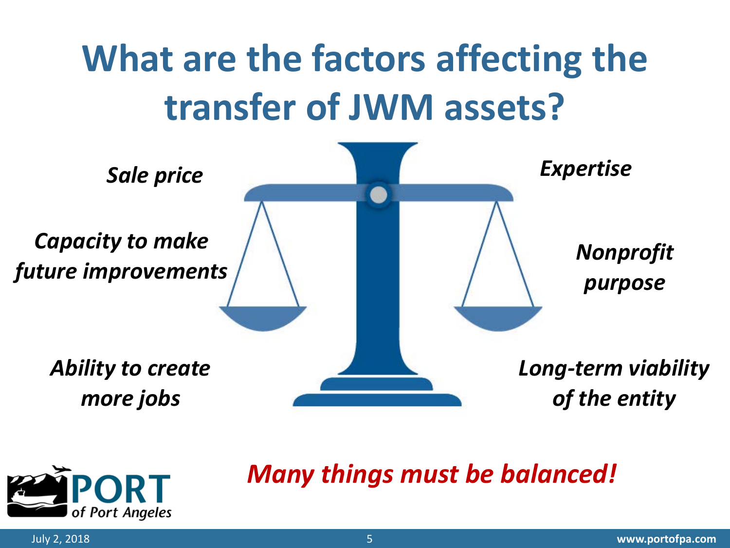## **What are the factors affecting the transfer of JWM assets?**





#### *Many things must be balanced!*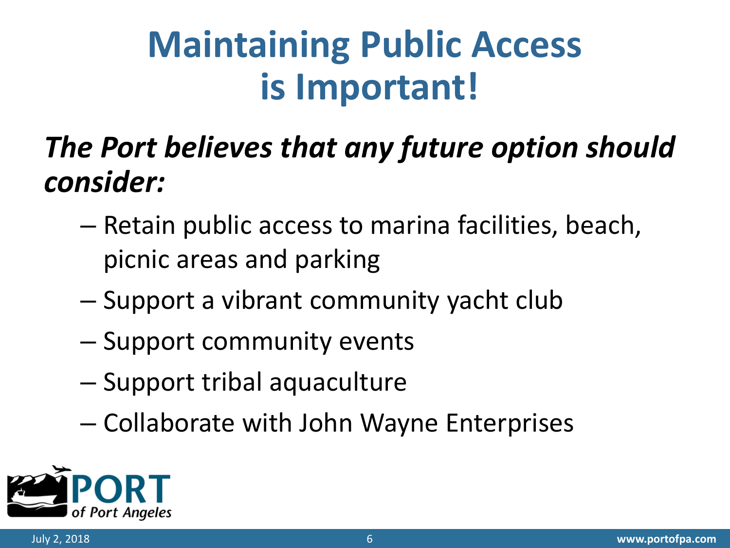## **Maintaining Public Access is Important!**

### *The Port believes that any future option should consider:*

- Retain public access to marina facilities, beach, picnic areas and parking
- Support a vibrant community yacht club
- Support community events
- Support tribal aquaculture
- Collaborate with John Wayne Enterprises

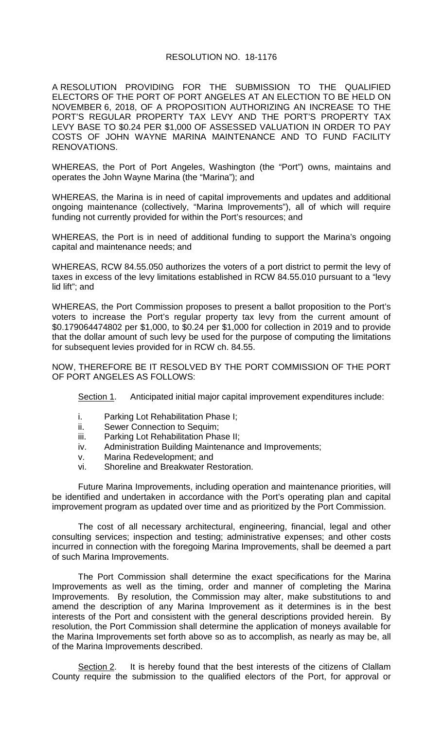#### RESOLUTION NO. 18-1176

A RESOLUTION PROVIDING FOR THE SUBMISSION TO THE QUALIFIED ELECTORS OF THE PORT OF PORT ANGELES AT AN ELECTION TO BE HELD ON NOVEMBER 6, 2018, OF A PROPOSITION AUTHORIZING AN INCREASE TO THE PORT'S REGULAR PROPERTY TAX LEVY AND THE PORT'S PROPERTY TAX LEVY BASE TO \$0.24 PER \$1,000 OF ASSESSED VALUATION IN ORDER TO PAY COSTS OF JOHN WAYNE MARINA MAINTENANCE AND TO FUND FACILITY RENOVATIONS.

WHEREAS, the Port of Port Angeles, Washington (the "Port") owns, maintains and operates the John Wayne Marina (the "Marina"); and

WHEREAS, the Marina is in need of capital improvements and updates and additional ongoing maintenance (collectively, "Marina Improvements"), all of which will require funding not currently provided for within the Port's resources; and

WHEREAS, the Port is in need of additional funding to support the Marina's ongoing capital and maintenance needs; and

WHEREAS, RCW 84.55.050 authorizes the voters of a port district to permit the levy of taxes in excess of the levy limitations established in RCW 84.55.010 pursuant to a "levy lid lift"; and

WHEREAS, the Port Commission proposes to present a ballot proposition to the Port's voters to increase the Port's regular property tax levy from the current amount of \$0.179064474802 per \$1,000, to \$0.24 per \$1,000 for collection in 2019 and to provide that the dollar amount of such levy be used for the purpose of computing the limitations for subsequent levies provided for in RCW ch. 84.55.

NOW, THEREFORE BE IT RESOLVED BY THE PORT COMMISSION OF THE PORT OF PORT ANGELES AS FOLLOWS:

Section 1. Anticipated initial major capital improvement expenditures include:

- i. Parking Lot Rehabilitation Phase I;
- ii. Sewer Connection to Sequim;
- iii. Parking Lot Rehabilitation Phase II;
- iv. Administration Building Maintenance and Improvements;
- v. Marina Redevelopment; and
- vi. Shoreline and Breakwater Restoration.

Future Marina Improvements, including operation and maintenance priorities, will be identified and undertaken in accordance with the Port's operating plan and capital improvement program as updated over time and as prioritized by the Port Commission.

The cost of all necessary architectural, engineering, financial, legal and other consulting services; inspection and testing; administrative expenses; and other costs incurred in connection with the foregoing Marina Improvements, shall be deemed a part of such Marina Improvements.

The Port Commission shall determine the exact specifications for the Marina Improvements as well as the timing, order and manner of completing the Marina Improvements. By resolution, the Commission may alter, make substitutions to and amend the description of any Marina Improvement as it determines is in the best interests of the Port and consistent with the general descriptions provided herein. By resolution, the Port Commission shall determine the application of moneys available for the Marina Improvements set forth above so as to accomplish, as nearly as may be, all of the Marina Improvements described.

Section 2. It is hereby found that the best interests of the citizens of Clallam County require the submission to the qualified electors of the Port, for approval or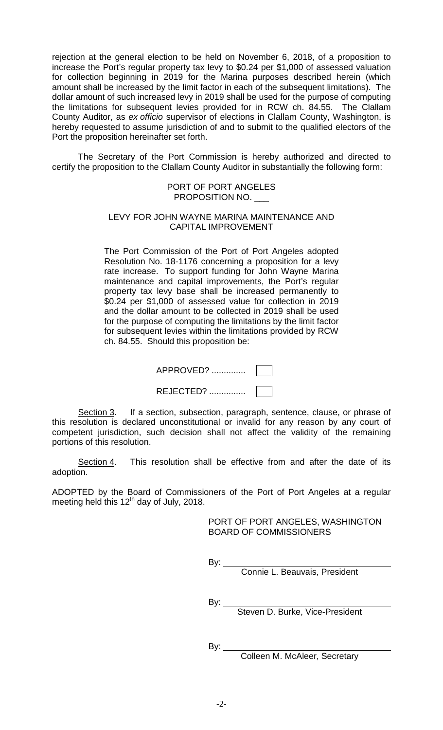rejection at the general election to be held on November 6, 2018, of a proposition to increase the Port's regular property tax levy to \$0.24 per \$1,000 of assessed valuation for collection beginning in 2019 for the Marina purposes described herein (which amount shall be increased by the limit factor in each of the subsequent limitations). The dollar amount of such increased levy in 2019 shall be used for the purpose of computing the limitations for subsequent levies provided for in RCW ch. 84.55. The Clallam County Auditor, as *ex officio* supervisor of elections in Clallam County, Washington, is hereby requested to assume jurisdiction of and to submit to the qualified electors of the Port the proposition hereinafter set forth.

The Secretary of the Port Commission is hereby authorized and directed to certify the proposition to the Clallam County Auditor in substantially the following form:

> PORT OF PORT ANGELES PROPOSITION NO. \_\_\_

#### LEVY FOR JOHN WAYNE MARINA MAINTENANCE AND CAPITAL IMPROVEMENT

The Port Commission of the Port of Port Angeles adopted Resolution No. 18-1176 concerning a proposition for a levy rate increase. To support funding for John Wayne Marina maintenance and capital improvements, the Port's regular property tax levy base shall be increased permanently to \$0.24 per \$1,000 of assessed value for collection in 2019 and the dollar amount to be collected in 2019 shall be used for the purpose of computing the limitations by the limit factor for subsequent levies within the limitations provided by RCW ch. 84.55. Should this proposition be:

REJECTED? ...............

Section 3. If a section, subsection, paragraph, sentence, clause, or phrase of this resolution is declared unconstitutional or invalid for any reason by any court of competent jurisdiction, such decision shall not affect the validity of the remaining portions of this resolution.

Section 4. This resolution shall be effective from and after the date of its adoption.

ADOPTED by the Board of Commissioners of the Port of Port Angeles at a regular meeting held this  $12<sup>th</sup>$  day of July, 2018.

> PORT OF PORT ANGELES, WASHINGTON BOARD OF COMMISSIONERS

By:  $_{-}$ 

Connie L. Beauvais, President

By:  $\_$ 

Steven D. Burke, Vice-President

By:  $\_\_$ 

Colleen M. McAleer, Secretary